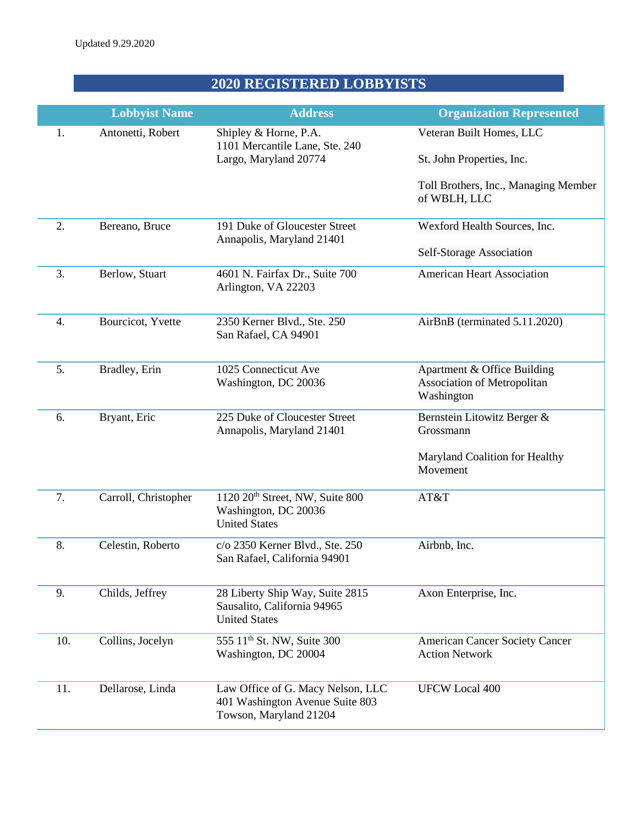## **2020 REGISTERED LOBBYISTS**

|     | <b>Lobbyist Name</b> | <b>Address</b>                                                                                 | <b>Organization Represented</b>                                                 |
|-----|----------------------|------------------------------------------------------------------------------------------------|---------------------------------------------------------------------------------|
| 1.  | Antonetti, Robert    | Shipley & Horne, P.A.<br>1101 Mercantile Lane, Ste. 240                                        | Veteran Built Homes, LLC                                                        |
|     |                      | Largo, Maryland 20774                                                                          | St. John Properties, Inc.                                                       |
|     |                      |                                                                                                | Toll Brothers, Inc., Managing Member<br>of WBLH, LLC                            |
| 2.  | Bereano, Bruce       | 191 Duke of Gloucester Street<br>Annapolis, Maryland 21401                                     | Wexford Health Sources, Inc.                                                    |
|     |                      |                                                                                                | Self-Storage Association                                                        |
| 3.  | Berlow, Stuart       | 4601 N. Fairfax Dr., Suite 700<br>Arlington, VA 22203                                          | <b>American Heart Association</b>                                               |
| 4.  | Bourcicot, Yvette    | 2350 Kerner Blvd., Ste. 250<br>San Rafael, CA 94901                                            | AirBnB (terminated 5.11.2020)                                                   |
| 5.  | Bradley, Erin        | 1025 Connecticut Ave<br>Washington, DC 20036                                                   | Apartment & Office Building<br><b>Association of Metropolitan</b><br>Washington |
| 6.  | Bryant, Eric         | 225 Duke of Cloucester Street<br>Annapolis, Maryland 21401                                     | Bernstein Litowitz Berger &<br>Grossmann                                        |
|     |                      |                                                                                                | Maryland Coalition for Healthy<br>Movement                                      |
| 7.  | Carroll, Christopher | 1120 20 <sup>th</sup> Street, NW, Suite 800<br>Washington, DC 20036<br><b>United States</b>    | AT&T                                                                            |
| 8.  | Celestin, Roberto    | c/o 2350 Kerner Blvd., Ste. 250<br>San Rafael, California 94901                                | Airbnb, Inc.                                                                    |
| 9.  | Childs, Jeffrey      | 28 Liberty Ship Way, Suite 2815<br>Sausalito, California 94965<br><b>United States</b>         | Axon Enterprise, Inc.                                                           |
| 10. | Collins, Jocelyn     | 555 11 <sup>th</sup> St. NW, Suite 300<br>Washington, DC 20004                                 | <b>American Cancer Society Cancer</b><br><b>Action Network</b>                  |
| 11. | Dellarose, Linda     | Law Office of G. Macy Nelson, LLC<br>401 Washington Avenue Suite 803<br>Towson, Maryland 21204 | <b>UFCW Local 400</b>                                                           |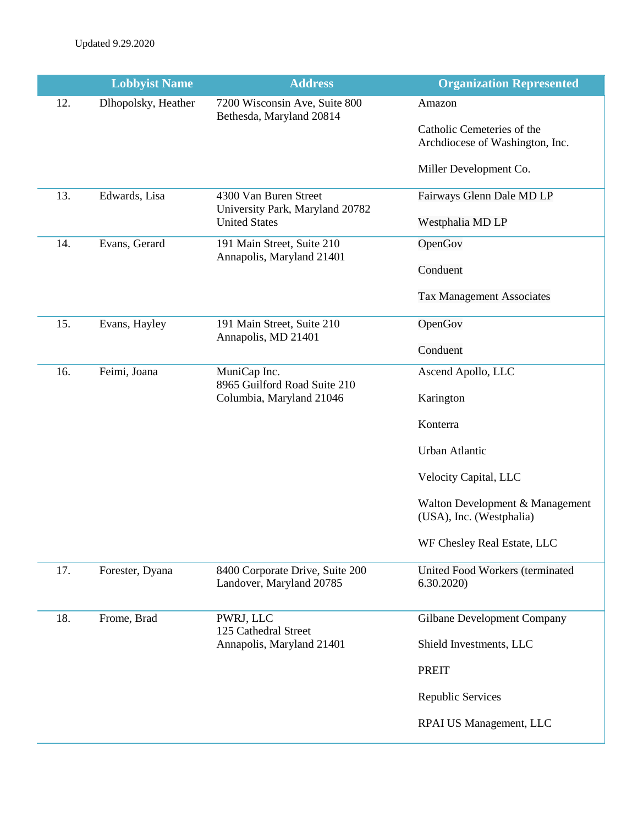|     | <b>Lobbyist Name</b> | <b>Address</b>                                                                   | <b>Organization Represented</b>                               |
|-----|----------------------|----------------------------------------------------------------------------------|---------------------------------------------------------------|
| 12. | Dlhopolsky, Heather  | 7200 Wisconsin Ave, Suite 800<br>Bethesda, Maryland 20814                        | Amazon                                                        |
|     |                      |                                                                                  | Catholic Cemeteries of the<br>Archdiocese of Washington, Inc. |
|     |                      |                                                                                  | Miller Development Co.                                        |
| 13. | Edwards, Lisa        | 4300 Van Buren Street<br>University Park, Maryland 20782<br><b>United States</b> | Fairways Glenn Dale MD LP                                     |
|     |                      |                                                                                  | Westphalia MD LP                                              |
| 14. | Evans, Gerard        | 191 Main Street, Suite 210<br>Annapolis, Maryland 21401                          | OpenGov                                                       |
|     |                      |                                                                                  | Conduent                                                      |
|     |                      |                                                                                  | <b>Tax Management Associates</b>                              |
| 15. | Evans, Hayley        | 191 Main Street, Suite 210<br>Annapolis, MD 21401                                | OpenGov                                                       |
|     |                      |                                                                                  | Conduent                                                      |
| 16. | Feimi, Joana         | MuniCap Inc.<br>8965 Guilford Road Suite 210<br>Columbia, Maryland 21046         | Ascend Apollo, LLC                                            |
|     |                      |                                                                                  | Karington                                                     |
|     |                      |                                                                                  | Konterra                                                      |
|     |                      |                                                                                  | Urban Atlantic                                                |
|     |                      |                                                                                  | Velocity Capital, LLC                                         |
|     |                      |                                                                                  | Walton Development & Management<br>(USA), Inc. (Westphalia)   |
|     |                      |                                                                                  | WF Chesley Real Estate, LLC                                   |
| 17. | Forester, Dyana      | 8400 Corporate Drive, Suite 200<br>Landover, Maryland 20785                      | United Food Workers (terminated<br>6.30.2020                  |
| 18. | Frome, Brad          | PWRJ, LLC<br>125 Cathedral Street<br>Annapolis, Maryland 21401                   | <b>Gilbane Development Company</b>                            |
|     |                      |                                                                                  | Shield Investments, LLC                                       |
|     |                      |                                                                                  | <b>PREIT</b>                                                  |
|     |                      |                                                                                  | Republic Services                                             |
|     |                      |                                                                                  | RPAI US Management, LLC                                       |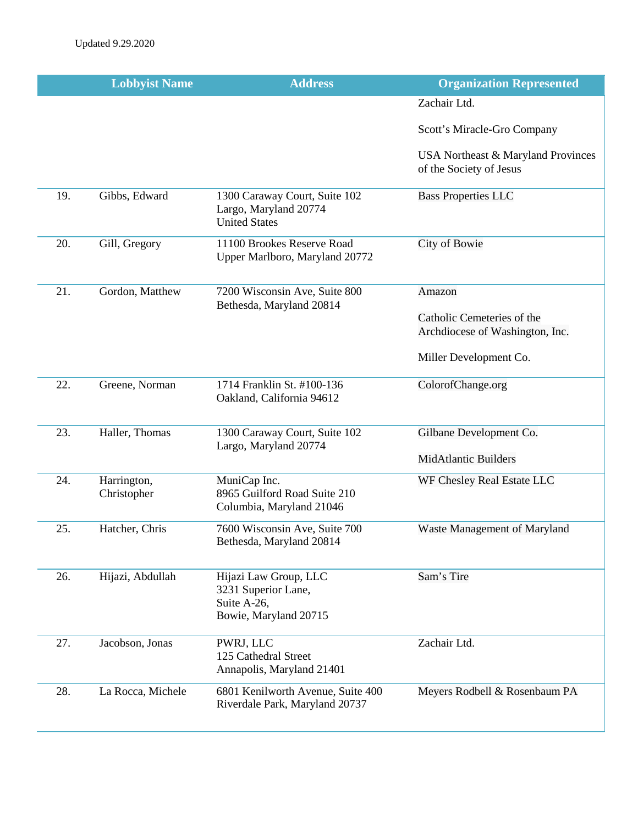|     | <b>Lobbyist Name</b>       | <b>Address</b>                                                                       | <b>Organization Represented</b>                               |
|-----|----------------------------|--------------------------------------------------------------------------------------|---------------------------------------------------------------|
|     |                            |                                                                                      | Zachair Ltd.                                                  |
|     |                            |                                                                                      | Scott's Miracle-Gro Company                                   |
|     |                            |                                                                                      | USA Northeast & Maryland Provinces<br>of the Society of Jesus |
| 19. | Gibbs, Edward              | 1300 Caraway Court, Suite 102<br>Largo, Maryland 20774<br><b>United States</b>       | <b>Bass Properties LLC</b>                                    |
| 20. | Gill, Gregory              | 11100 Brookes Reserve Road<br>Upper Marlboro, Maryland 20772                         | City of Bowie                                                 |
| 21. | Gordon, Matthew            | 7200 Wisconsin Ave, Suite 800<br>Bethesda, Maryland 20814                            | Amazon                                                        |
|     |                            |                                                                                      | Catholic Cemeteries of the<br>Archdiocese of Washington, Inc. |
|     |                            |                                                                                      | Miller Development Co.                                        |
| 22. | Greene, Norman             | 1714 Franklin St. #100-136<br>Oakland, California 94612                              | ColorofChange.org                                             |
| 23. | Haller, Thomas             | 1300 Caraway Court, Suite 102<br>Largo, Maryland 20774                               | Gilbane Development Co.                                       |
|     |                            |                                                                                      | <b>MidAtlantic Builders</b>                                   |
| 24. | Harrington,<br>Christopher | MuniCap Inc.<br>8965 Guilford Road Suite 210<br>Columbia, Maryland 21046             | WF Chesley Real Estate LLC                                    |
| 25. | Hatcher, Chris             | 7600 Wisconsin Ave, Suite 700<br>Bethesda, Maryland 20814                            | Waste Management of Maryland                                  |
| 26. | Hijazi, Abdullah           | Hijazi Law Group, LLC<br>3231 Superior Lane,<br>Suite A-26,<br>Bowie, Maryland 20715 | Sam's Tire                                                    |
| 27. | Jacobson, Jonas            | PWRJ, LLC<br>125 Cathedral Street<br>Annapolis, Maryland 21401                       | Zachair Ltd.                                                  |
| 28. | La Rocca, Michele          | 6801 Kenilworth Avenue, Suite 400<br>Riverdale Park, Maryland 20737                  | Meyers Rodbell & Rosenbaum PA                                 |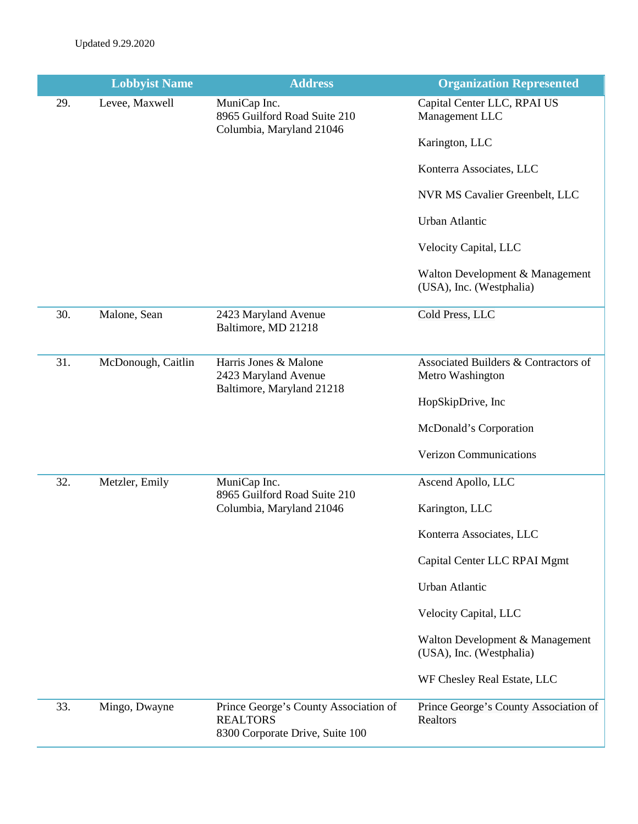|     | <b>Lobbyist Name</b> | <b>Address</b>                                                                              | <b>Organization Represented</b>                             |
|-----|----------------------|---------------------------------------------------------------------------------------------|-------------------------------------------------------------|
| 29. | Levee, Maxwell       | MuniCap Inc.<br>8965 Guilford Road Suite 210<br>Columbia, Maryland 21046                    | Capital Center LLC, RPAI US<br>Management LLC               |
|     |                      |                                                                                             | Karington, LLC                                              |
|     |                      |                                                                                             | Konterra Associates, LLC                                    |
|     |                      |                                                                                             | NVR MS Cavalier Greenbelt, LLC                              |
|     |                      |                                                                                             | <b>Urban Atlantic</b>                                       |
|     |                      |                                                                                             | Velocity Capital, LLC                                       |
|     |                      |                                                                                             | Walton Development & Management<br>(USA), Inc. (Westphalia) |
| 30. | Malone, Sean         | 2423 Maryland Avenue<br>Baltimore, MD 21218                                                 | Cold Press, LLC                                             |
| 31. | McDonough, Caitlin   | Harris Jones & Malone<br>2423 Maryland Avenue                                               | Associated Builders & Contractors of<br>Metro Washington    |
|     |                      | Baltimore, Maryland 21218                                                                   | HopSkipDrive, Inc                                           |
|     |                      |                                                                                             | McDonald's Corporation                                      |
|     |                      |                                                                                             | <b>Verizon Communications</b>                               |
| 32. | Metzler, Emily       | MuniCap Inc.<br>8965 Guilford Road Suite 210                                                | Ascend Apollo, LLC                                          |
|     |                      | Columbia, Maryland 21046                                                                    | Karington, LLC                                              |
|     |                      |                                                                                             | Konterra Associates, LLC                                    |
|     |                      |                                                                                             | Capital Center LLC RPAI Mgmt                                |
|     |                      |                                                                                             | Urban Atlantic                                              |
|     |                      |                                                                                             | Velocity Capital, LLC                                       |
|     |                      |                                                                                             | Walton Development & Management<br>(USA), Inc. (Westphalia) |
|     |                      |                                                                                             | WF Chesley Real Estate, LLC                                 |
| 33. | Mingo, Dwayne        | Prince George's County Association of<br><b>REALTORS</b><br>8300 Corporate Drive, Suite 100 | Prince George's County Association of<br>Realtors           |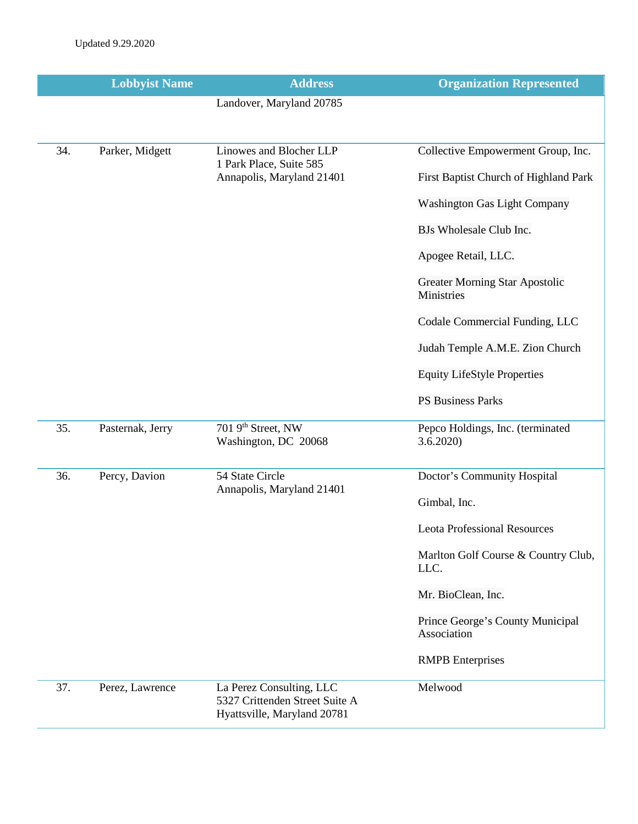|     | <b>Lobbyist Name</b> | <b>Address</b>                                                                            | <b>Organization Represented</b>                     |
|-----|----------------------|-------------------------------------------------------------------------------------------|-----------------------------------------------------|
|     |                      | Landover, Maryland 20785                                                                  |                                                     |
|     |                      |                                                                                           |                                                     |
| 34. | Parker, Midgett      | Linowes and Blocher LLP<br>1 Park Place, Suite 585                                        | Collective Empowerment Group, Inc.                  |
|     |                      | Annapolis, Maryland 21401                                                                 | First Baptist Church of Highland Park               |
|     |                      |                                                                                           | <b>Washington Gas Light Company</b>                 |
|     |                      |                                                                                           | BJs Wholesale Club Inc.                             |
|     |                      |                                                                                           | Apogee Retail, LLC.                                 |
|     |                      |                                                                                           | <b>Greater Morning Star Apostolic</b><br>Ministries |
|     |                      |                                                                                           | Codale Commercial Funding, LLC                      |
|     |                      |                                                                                           | Judah Temple A.M.E. Zion Church                     |
|     |                      |                                                                                           | <b>Equity LifeStyle Properties</b>                  |
|     |                      |                                                                                           | <b>PS Business Parks</b>                            |
| 35. | Pasternak, Jerry     | 701 9th Street, NW<br>Washington, DC 20068                                                | Pepco Holdings, Inc. (terminated<br>3.6.2020        |
| 36. | Percy, Davion        | 54 State Circle                                                                           | Doctor's Community Hospital                         |
|     |                      | Annapolis, Maryland 21401                                                                 | Gimbal, Inc.                                        |
|     |                      |                                                                                           | <b>Leota Professional Resources</b>                 |
|     |                      |                                                                                           | Marlton Golf Course & Country Club,<br>LLC.         |
|     |                      |                                                                                           | Mr. BioClean, Inc.                                  |
|     |                      |                                                                                           | Prince George's County Municipal<br>Association     |
|     |                      |                                                                                           | <b>RMPB</b> Enterprises                             |
| 37. | Perez, Lawrence      | La Perez Consulting, LLC<br>5327 Crittenden Street Suite A<br>Hyattsville, Maryland 20781 | Melwood                                             |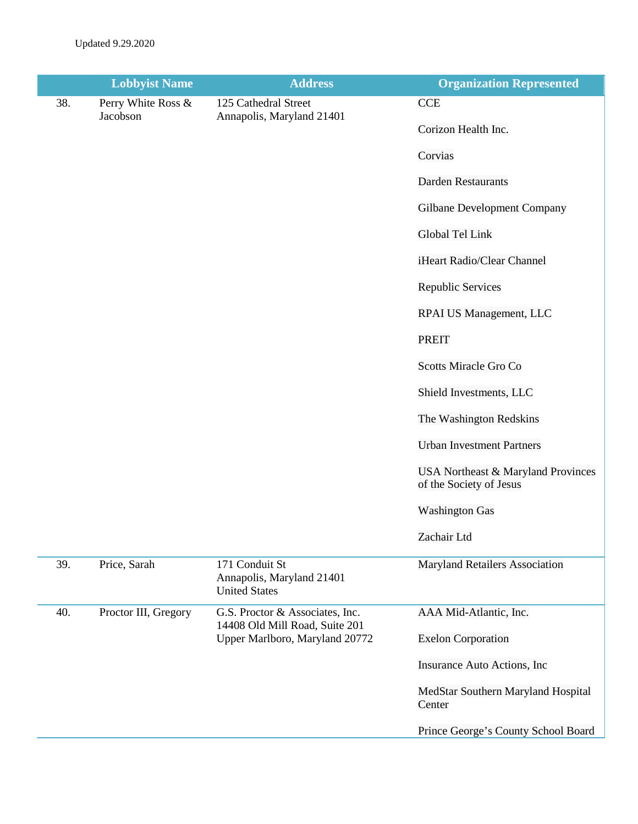|     | <b>Lobbyist Name</b>           | <b>Address</b>                                                                                      | <b>Organization Represented</b>                               |
|-----|--------------------------------|-----------------------------------------------------------------------------------------------------|---------------------------------------------------------------|
| 38. | Perry White Ross &<br>Jacobson | 125 Cathedral Street<br>Annapolis, Maryland 21401                                                   | <b>CCE</b><br>Corizon Health Inc.                             |
|     |                                |                                                                                                     | Corvias                                                       |
|     |                                |                                                                                                     | <b>Darden Restaurants</b>                                     |
|     |                                |                                                                                                     | <b>Gilbane Development Company</b>                            |
|     |                                |                                                                                                     | Global Tel Link                                               |
|     |                                |                                                                                                     | iHeart Radio/Clear Channel                                    |
|     |                                |                                                                                                     | Republic Services                                             |
|     |                                |                                                                                                     | RPAI US Management, LLC                                       |
|     |                                |                                                                                                     | <b>PREIT</b>                                                  |
|     |                                |                                                                                                     | <b>Scotts Miracle Gro Co</b>                                  |
|     |                                |                                                                                                     | Shield Investments, LLC                                       |
|     |                                |                                                                                                     | The Washington Redskins                                       |
|     |                                |                                                                                                     | <b>Urban Investment Partners</b>                              |
|     |                                |                                                                                                     | USA Northeast & Maryland Provinces<br>of the Society of Jesus |
|     |                                |                                                                                                     | <b>Washington Gas</b>                                         |
|     |                                |                                                                                                     | Zachair Ltd                                                   |
| 39. | Price, Sarah                   | 171 Conduit St<br>Annapolis, Maryland 21401<br><b>United States</b>                                 | <b>Maryland Retailers Association</b>                         |
| 40. | Proctor III, Gregory           | G.S. Proctor & Associates, Inc.<br>14408 Old Mill Road, Suite 201<br>Upper Marlboro, Maryland 20772 | AAA Mid-Atlantic, Inc.                                        |
|     |                                |                                                                                                     | <b>Exelon Corporation</b>                                     |
|     |                                |                                                                                                     | Insurance Auto Actions, Inc                                   |
|     |                                |                                                                                                     | MedStar Southern Maryland Hospital<br>Center                  |
|     |                                |                                                                                                     | Prince George's County School Board                           |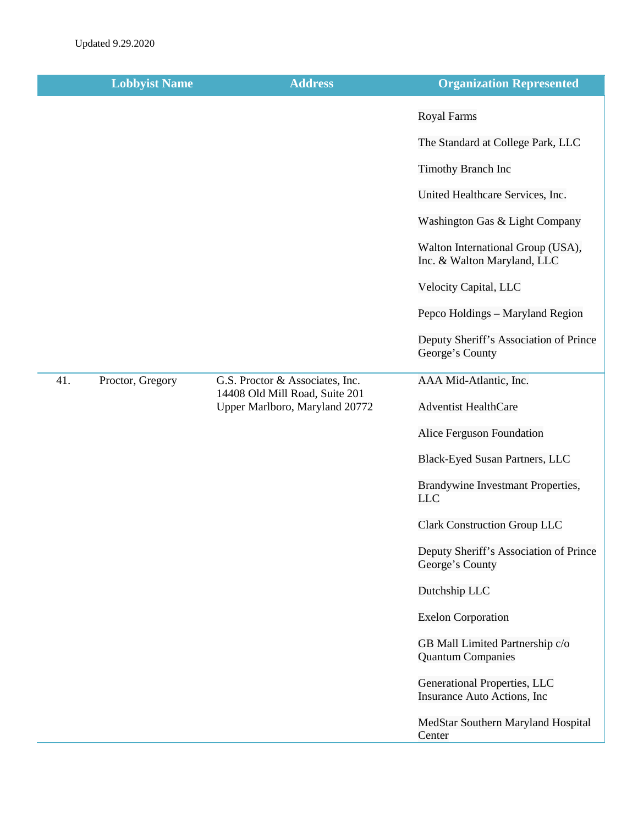|     | <b>Lobbyist Name</b> | <b>Address</b>                                                                                      | <b>Organization Represented</b>                                  |
|-----|----------------------|-----------------------------------------------------------------------------------------------------|------------------------------------------------------------------|
|     |                      |                                                                                                     | <b>Royal Farms</b>                                               |
|     |                      |                                                                                                     | The Standard at College Park, LLC                                |
|     |                      |                                                                                                     | <b>Timothy Branch Inc</b>                                        |
|     |                      |                                                                                                     | United Healthcare Services, Inc.                                 |
|     |                      |                                                                                                     | Washington Gas & Light Company                                   |
|     |                      |                                                                                                     | Walton International Group (USA),<br>Inc. & Walton Maryland, LLC |
|     |                      |                                                                                                     | Velocity Capital, LLC                                            |
|     |                      |                                                                                                     | Pepco Holdings - Maryland Region                                 |
|     |                      |                                                                                                     | Deputy Sheriff's Association of Prince<br>George's County        |
| 41. | Proctor, Gregory     | G.S. Proctor & Associates, Inc.<br>14408 Old Mill Road, Suite 201<br>Upper Marlboro, Maryland 20772 | AAA Mid-Atlantic, Inc.                                           |
|     |                      |                                                                                                     | <b>Adventist HealthCare</b>                                      |
|     |                      |                                                                                                     | Alice Ferguson Foundation                                        |
|     |                      |                                                                                                     | Black-Eyed Susan Partners, LLC                                   |
|     |                      |                                                                                                     | Brandywine Investmant Properties,<br><b>LLC</b>                  |
|     |                      |                                                                                                     | <b>Clark Construction Group LLC</b>                              |
|     |                      |                                                                                                     | Deputy Sheriff's Association of Prince<br>George's County        |
|     |                      |                                                                                                     | Dutchship LLC                                                    |
|     |                      |                                                                                                     | <b>Exelon Corporation</b>                                        |
|     |                      |                                                                                                     | GB Mall Limited Partnership c/o<br><b>Quantum Companies</b>      |
|     |                      |                                                                                                     | Generational Properties, LLC<br>Insurance Auto Actions, Inc      |
|     |                      |                                                                                                     | MedStar Southern Maryland Hospital<br>Center                     |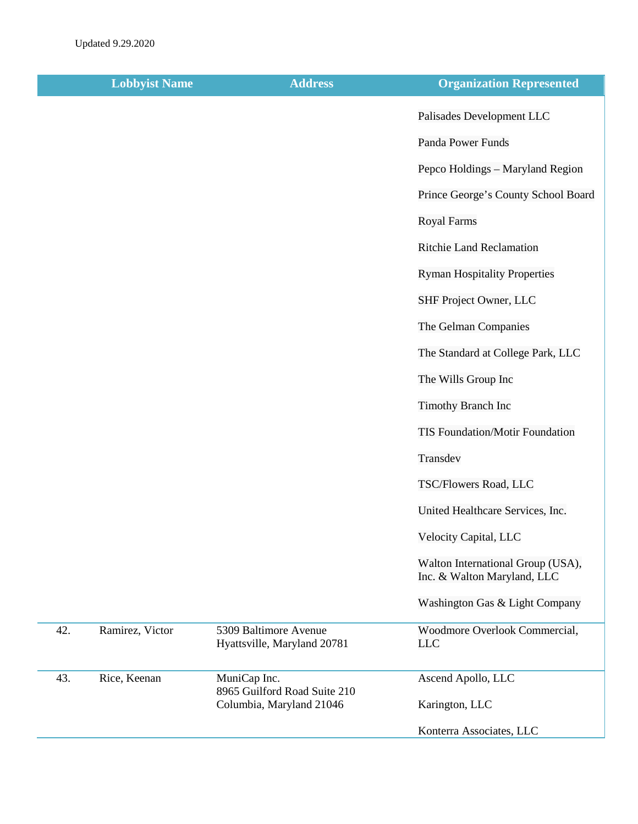|     | <b>Lobbyist Name</b> | <b>Address</b>                                       | <b>Organization Represented</b>                                  |
|-----|----------------------|------------------------------------------------------|------------------------------------------------------------------|
|     |                      |                                                      | Palisades Development LLC                                        |
|     |                      |                                                      | Panda Power Funds                                                |
|     |                      |                                                      | Pepco Holdings - Maryland Region                                 |
|     |                      |                                                      | Prince George's County School Board                              |
|     |                      |                                                      | <b>Royal Farms</b>                                               |
|     |                      |                                                      | <b>Ritchie Land Reclamation</b>                                  |
|     |                      |                                                      | <b>Ryman Hospitality Properties</b>                              |
|     |                      |                                                      | SHF Project Owner, LLC                                           |
|     |                      |                                                      | The Gelman Companies                                             |
|     |                      |                                                      | The Standard at College Park, LLC                                |
|     |                      |                                                      | The Wills Group Inc                                              |
|     |                      |                                                      | <b>Timothy Branch Inc</b>                                        |
|     |                      |                                                      | TIS Foundation/Motir Foundation                                  |
|     |                      |                                                      | Transdev                                                         |
|     |                      |                                                      | TSC/Flowers Road, LLC                                            |
|     |                      |                                                      | United Healthcare Services, Inc.                                 |
|     |                      |                                                      | Velocity Capital, LLC                                            |
|     |                      |                                                      | Walton International Group (USA),<br>Inc. & Walton Maryland, LLC |
|     |                      |                                                      | Washington Gas & Light Company                                   |
| 42. | Ramirez, Victor      | 5309 Baltimore Avenue<br>Hyattsville, Maryland 20781 | Woodmore Overlook Commercial,<br><b>LLC</b>                      |
| 43. | Rice, Keenan         | MuniCap Inc.<br>8965 Guilford Road Suite 210         | Ascend Apollo, LLC                                               |
|     |                      | Columbia, Maryland 21046                             | Karington, LLC                                                   |
|     |                      |                                                      | Konterra Associates, LLC                                         |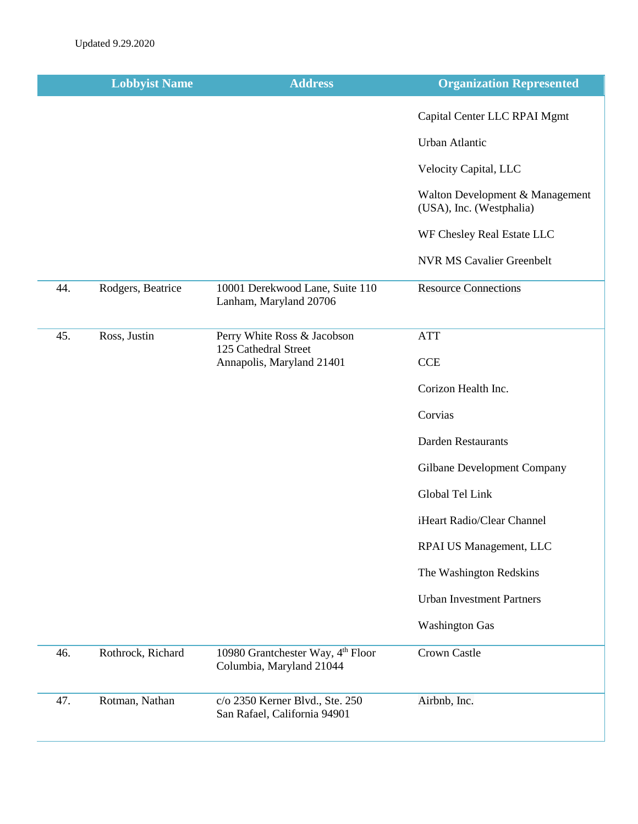|     | <b>Lobbyist Name</b> | <b>Address</b>                                                  | <b>Organization Represented</b>                             |
|-----|----------------------|-----------------------------------------------------------------|-------------------------------------------------------------|
|     |                      |                                                                 | Capital Center LLC RPAI Mgmt                                |
|     |                      |                                                                 | Urban Atlantic                                              |
|     |                      |                                                                 | Velocity Capital, LLC                                       |
|     |                      |                                                                 | Walton Development & Management<br>(USA), Inc. (Westphalia) |
|     |                      |                                                                 | WF Chesley Real Estate LLC                                  |
|     |                      |                                                                 | <b>NVR MS Cavalier Greenbelt</b>                            |
| 44. | Rodgers, Beatrice    | 10001 Derekwood Lane, Suite 110<br>Lanham, Maryland 20706       | <b>Resource Connections</b>                                 |
| 45. | Ross, Justin         | Perry White Ross & Jacobson                                     | <b>ATT</b>                                                  |
|     |                      | 125 Cathedral Street<br>Annapolis, Maryland 21401               | <b>CCE</b>                                                  |
|     |                      |                                                                 | Corizon Health Inc.                                         |
|     |                      |                                                                 | Corvias                                                     |
|     |                      |                                                                 | <b>Darden Restaurants</b>                                   |
|     |                      |                                                                 | Gilbane Development Company                                 |
|     |                      |                                                                 | Global Tel Link                                             |
|     |                      |                                                                 | iHeart Radio/Clear Channel                                  |
|     |                      |                                                                 | RPAI US Management, LLC                                     |
|     |                      |                                                                 | The Washington Redskins                                     |
|     |                      |                                                                 | <b>Urban Investment Partners</b>                            |
|     |                      |                                                                 | <b>Washington Gas</b>                                       |
| 46. | Rothrock, Richard    | 10980 Grantchester Way, 4th Floor<br>Columbia, Maryland 21044   | Crown Castle                                                |
| 47. | Rotman, Nathan       | c/o 2350 Kerner Blvd., Ste. 250<br>San Rafael, California 94901 | Airbnb, Inc.                                                |